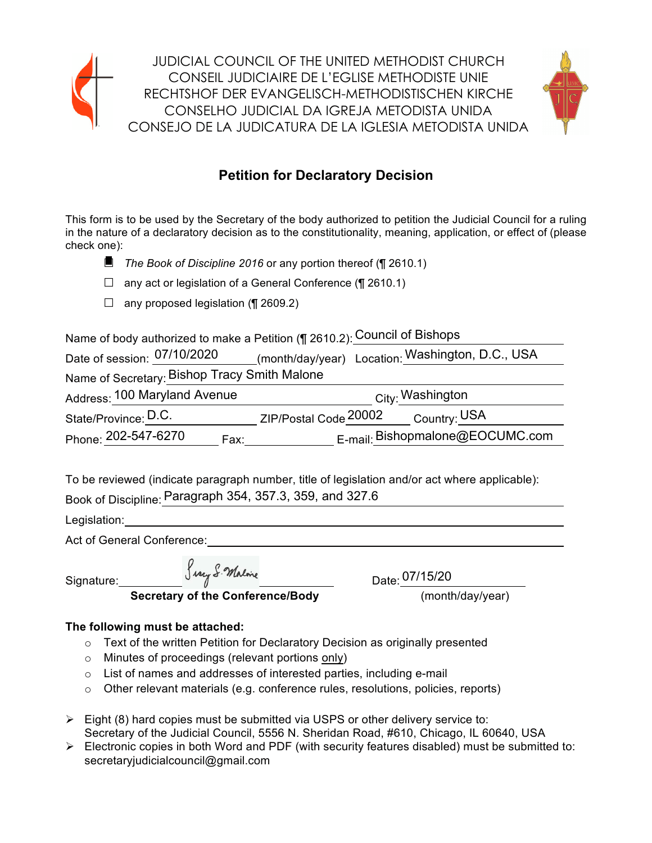

**JUDICIAL COUNCIL OF THE UNITED METHODIST CHURCH** CONSEIL JUDICIAIRE DE L'EGLISE METHODISTE UNIE RECHTSHOF DER EVANGELISCH-METHODISTISCHEN KIRCHE CONSELHO JUDICIAL DA IGREJA METODISTA UNIDA CONSEJO DE LA JUDICATURA DE LA IGLESIA METODISTA UNIDA



# **Petition for Declaratory Decision**

This form is to be used by the Secretary of the body authorized to petition the Judicial Council for a ruling in the nature of a declaratory decision as to the constitutionality, meaning, application, or effect of (please check one):

- $\blacksquare$  The Book of Discipline 2016 or any portion thereof ( $\blacksquare$  2610.1)
- $\Box$  any act or legislation of a General Conference (¶ 2610.1)
- $\Box$  any proposed legislation (¶ 2609.2)

Name of body authorized to make a Petition (¶ 2610.2): Council of Bishops

| Date of session: 07/10/2020                  | (month/day/year) Location: Washington, D.C., USA |
|----------------------------------------------|--------------------------------------------------|
| Name of Secretary: Bishop Tracy Smith Malone |                                                  |
| Address: 100 Maryland Avenue                 | City: Washington                                 |
| State/Province: D.C.                         | ZIP/Postal Code 20002<br>Country: USA            |
| Phone: 202-547-6270<br>Fax:                  | E-mail: Bishopmalone@EOCUMC.com                  |

To be reviewed (indicate paragraph number, title of legislation and/or act where applicable): Book of Discipline: Paragraph 354, 357.3, 359, and 327.6

Legislation:

Act of General Conference:

Signature:

Serry S. Malone

**Secretary of the Conference/Bodv** 

Date:  $\frac{07/15/20}{(month/day/year)}$ 

# The following must be attached:

- $\circ$  Text of the written Petition for Declaratory Decision as originally presented
- o Minutes of proceedings (relevant portions only)
- o List of names and addresses of interested parties, including e-mail
- $\circ$  Other relevant materials (e.g. conference rules, resolutions, policies, reports)
- $\triangleright$  Eight (8) hard copies must be submitted via USPS or other delivery service to: Secretary of the Judicial Council, 5556 N. Sheridan Road, #610, Chicago, IL 60640, USA
- $\triangleright$  Electronic copies in both Word and PDF (with security features disabled) must be submitted to: secretaryjudicialcouncil@gmail.com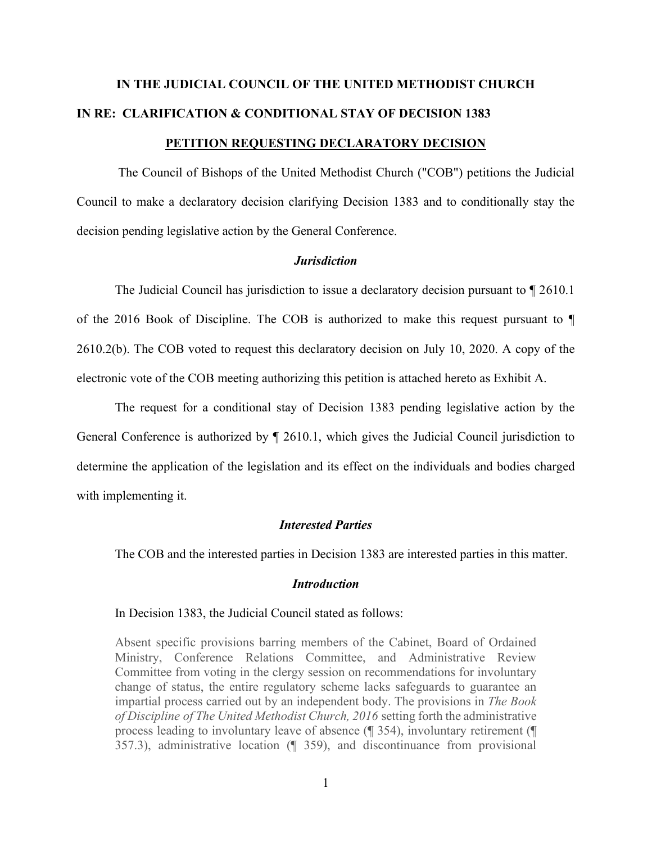# **IN THE JUDICIAL COUNCIL OF THE UNITED METHODIST CHURCH IN RE: CLARIFICATION & CONDITIONAL STAY OF DECISION 1383 PETITION REQUESTING DECLARATORY DECISION**

The Council of Bishops of the United Methodist Church ("COB") petitions the Judicial Council to make a declaratory decision clarifying Decision 1383 and to conditionally stay the decision pending legislative action by the General Conference.

#### *Jurisdiction*

 The Judicial Council has jurisdiction to issue a declaratory decision pursuant to ¶ 2610.1 of the 2016 Book of Discipline. The COB is authorized to make this request pursuant to ¶ 2610.2(b). The COB voted to request this declaratory decision on July 10, 2020. A copy of the electronic vote of the COB meeting authorizing this petition is attached hereto as Exhibit A.

 The request for a conditional stay of Decision 1383 pending legislative action by the General Conference is authorized by ¶ 2610.1, which gives the Judicial Council jurisdiction to determine the application of the legislation and its effect on the individuals and bodies charged with implementing it.

### *Interested Parties*

The COB and the interested parties in Decision 1383 are interested parties in this matter.

#### *Introduction*

In Decision 1383, the Judicial Council stated as follows:

Absent specific provisions barring members of the Cabinet, Board of Ordained Ministry, Conference Relations Committee, and Administrative Review Committee from voting in the clergy session on recommendations for involuntary change of status, the entire regulatory scheme lacks safeguards to guarantee an impartial process carried out by an independent body. The provisions in *The Book of Discipline of The United Methodist Church, 2016* setting forth the administrative process leading to involuntary leave of absence (¶ 354), involuntary retirement (¶ 357.3), administrative location (¶ 359), and discontinuance from provisional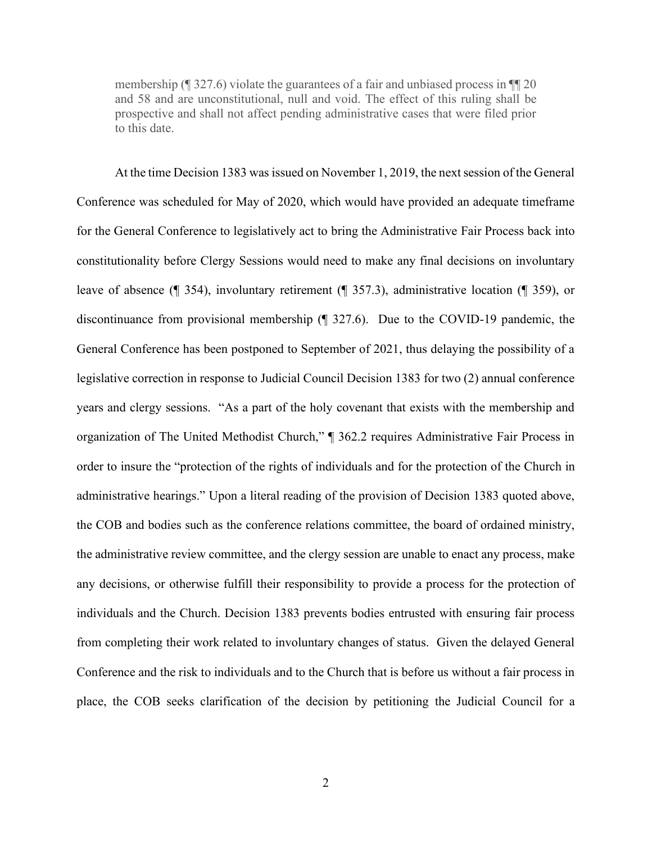membership (¶ 327.6) violate the guarantees of a fair and unbiased process in ¶¶ 20 and 58 and are unconstitutional, null and void. The effect of this ruling shall be prospective and shall not affect pending administrative cases that were filed prior to this date.

 At the time Decision 1383 was issued on November 1, 2019, the next session of the General Conference was scheduled for May of 2020, which would have provided an adequate timeframe for the General Conference to legislatively act to bring the Administrative Fair Process back into constitutionality before Clergy Sessions would need to make any final decisions on involuntary leave of absence (¶ 354), involuntary retirement (¶ 357.3), administrative location (¶ 359), or discontinuance from provisional membership (¶ 327.6). Due to the COVID-19 pandemic, the General Conference has been postponed to September of 2021, thus delaying the possibility of a legislative correction in response to Judicial Council Decision 1383 for two (2) annual conference years and clergy sessions. "As a part of the holy covenant that exists with the membership and organization of The United Methodist Church," ¶ 362.2 requires Administrative Fair Process in order to insure the "protection of the rights of individuals and for the protection of the Church in administrative hearings." Upon a literal reading of the provision of Decision 1383 quoted above, the COB and bodies such as the conference relations committee, the board of ordained ministry, the administrative review committee, and the clergy session are unable to enact any process, make any decisions, or otherwise fulfill their responsibility to provide a process for the protection of individuals and the Church. Decision 1383 prevents bodies entrusted with ensuring fair process from completing their work related to involuntary changes of status. Given the delayed General Conference and the risk to individuals and to the Church that is before us without a fair process in place, the COB seeks clarification of the decision by petitioning the Judicial Council for a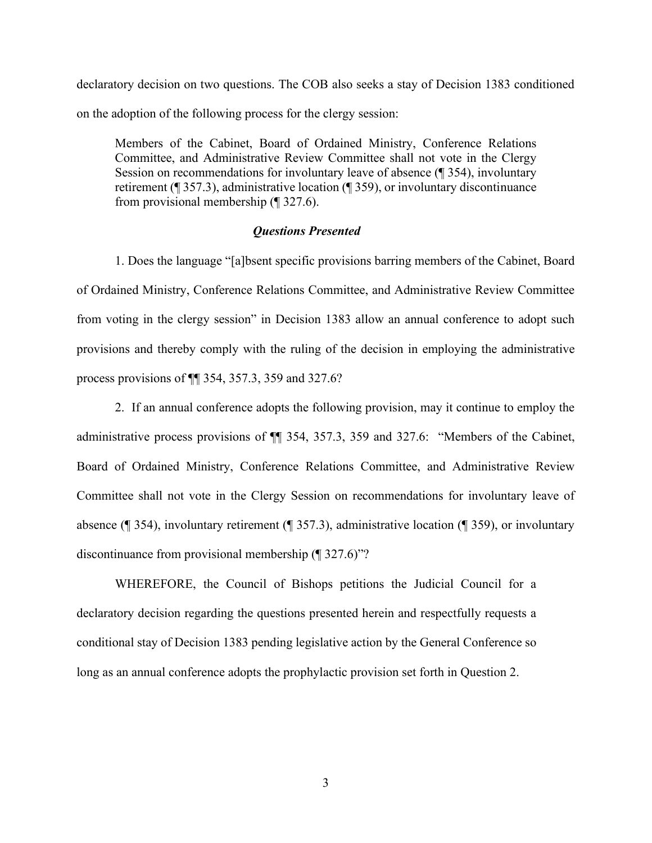declaratory decision on two questions. The COB also seeks a stay of Decision 1383 conditioned on the adoption of the following process for the clergy session:

Members of the Cabinet, Board of Ordained Ministry, Conference Relations Committee, and Administrative Review Committee shall not vote in the Clergy Session on recommendations for involuntary leave of absence (¶ 354), involuntary retirement (¶ 357.3), administrative location (¶ 359), or involuntary discontinuance from provisional membership (¶ 327.6).

#### *Questions Presented*

1. Does the language "[a]bsent specific provisions barring members of the Cabinet, Board of Ordained Ministry, Conference Relations Committee, and Administrative Review Committee from voting in the clergy session" in Decision 1383 allow an annual conference to adopt such provisions and thereby comply with the ruling of the decision in employing the administrative process provisions of ¶¶ 354, 357.3, 359 and 327.6?

 2. If an annual conference adopts the following provision, may it continue to employ the administrative process provisions of  $\P$  354, 357.3, 359 and 327.6: "Members of the Cabinet, Board of Ordained Ministry, Conference Relations Committee, and Administrative Review Committee shall not vote in the Clergy Session on recommendations for involuntary leave of absence (¶ 354), involuntary retirement (¶ 357.3), administrative location (¶ 359), or involuntary discontinuance from provisional membership  $(\sqrt{\phantom{a}}\,327.6)$ "?

 WHEREFORE, the Council of Bishops petitions the Judicial Council for a declaratory decision regarding the questions presented herein and respectfully requests a conditional stay of Decision 1383 pending legislative action by the General Conference so long as an annual conference adopts the prophylactic provision set forth in Question 2.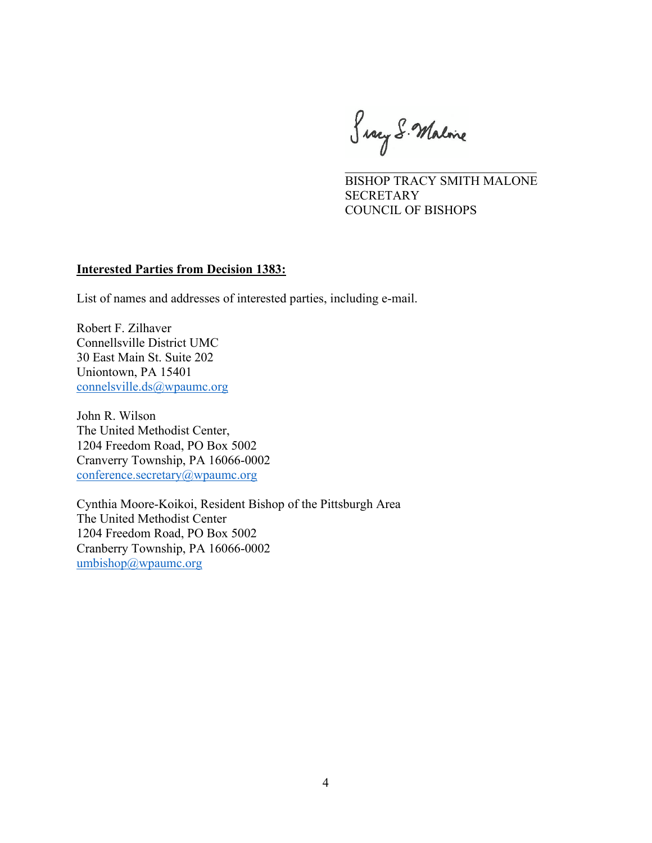Snary S. Malone

 $\overline{\phantom{a}}$  , and the set of the set of the set of the set of the set of the set of the set of the set of the set of the set of the set of the set of the set of the set of the set of the set of the set of the set of the s BISHOP TRACY SMITH MALONE **SECRETARY** COUNCIL OF BISHOPS

#### **Interested Parties from Decision 1383:**

List of names and addresses of interested parties, including e-mail.

Robert F. Zilhaver Connellsville District UMC 30 East Main St. Suite 202 Uniontown, PA 15401 connelsville.ds@wpaumc.org

John R. Wilson The United Methodist Center, 1204 Freedom Road, PO Box 5002 Cranverry Township, PA 16066-0002 conference.secretary@wpaumc.org

Cynthia Moore-Koikoi, Resident Bishop of the Pittsburgh Area The United Methodist Center 1204 Freedom Road, PO Box 5002 Cranberry Township, PA 16066-0002 umbishop@wpaumc.org